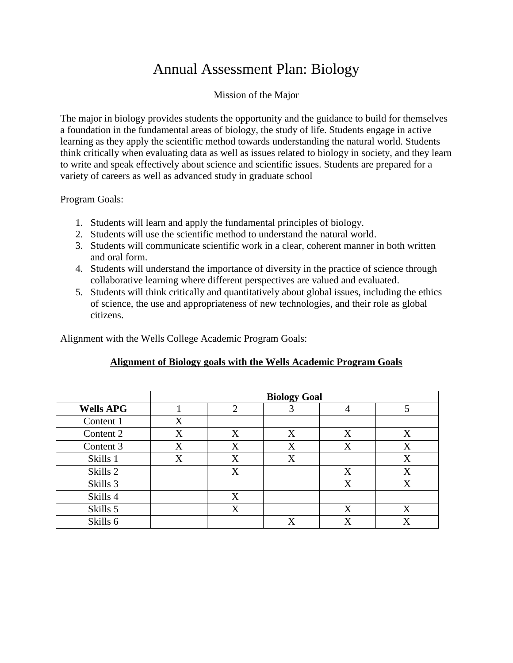# Annual Assessment Plan: Biology

#### Mission of the Major

The major in biology provides students the opportunity and the guidance to build for themselves a foundation in the fundamental areas of biology, the study of life. Students engage in active learning as they apply the scientific method towards understanding the natural world. Students think critically when evaluating data as well as issues related to biology in society, and they learn to write and speak effectively about science and scientific issues. Students are prepared for a variety of careers as well as advanced study in graduate school

## Program Goals:

- 1. Students will learn and apply the fundamental principles of biology.
- 2. Students will use the scientific method to understand the natural world.
- 3. Students will communicate scientific work in a clear, coherent manner in both written and oral form.
- 4. Students will understand the importance of diversity in the practice of science through collaborative learning where different perspectives are valued and evaluated.
- 5. Students will think critically and quantitatively about global issues, including the ethics of science, the use and appropriateness of new technologies, and their role as global citizens.

Alignment with the Wells College Academic Program Goals:

#### **Alignment of Biology goals with the Wells Academic Program Goals**

|                  | <b>Biology Goal</b> |   |   |   |   |
|------------------|---------------------|---|---|---|---|
| <b>Wells APG</b> |                     | 2 |   | 4 | 5 |
| Content 1        | X                   |   |   |   |   |
| Content 2        | X                   | X | X | X | X |
| Content 3        | X                   | X | X | X | X |
| Skills 1         | X                   | X | X |   | X |
| Skills 2         |                     | X |   | X | X |
| Skills 3         |                     |   |   | X | X |
| Skills 4         |                     | X |   |   |   |
| Skills 5         |                     | X |   | X | X |
| Skills 6         |                     |   | X |   |   |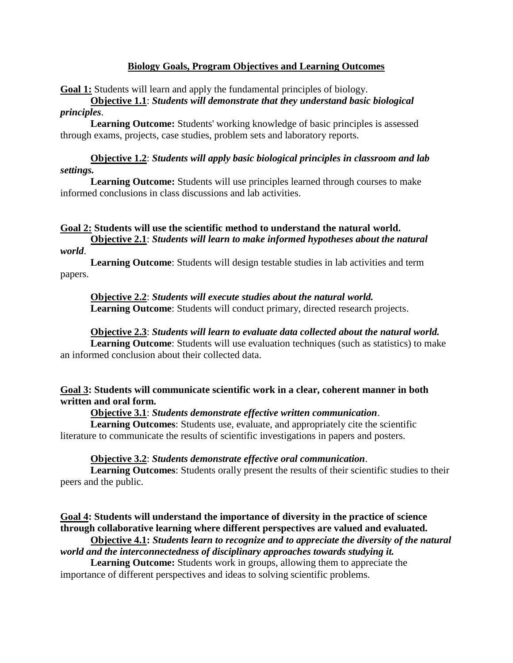#### **Biology Goals, Program Objectives and Learning Outcomes**

**Goal 1:** Students will learn and apply the fundamental principles of biology.

## **Objective 1.1**: *Students will demonstrate that they understand basic biological principles*.

**Learning Outcome:** Students' working knowledge of basic principles is assessed through exams, projects, case studies, problem sets and laboratory reports.

## **Objective 1.2**: *Students will apply basic biological principles in classroom and lab settings.*

**Learning Outcome:** Students will use principles learned through courses to make informed conclusions in class discussions and lab activities.

## **Goal 2: Students will use the scientific method to understand the natural world. Objective 2.1**: *Students will learn to make informed hypotheses about the natural*

#### *world*.

**Learning Outcome**: Students will design testable studies in lab activities and term papers.

## **Objective 2.2**: *Students will execute studies about the natural world.*

**Learning Outcome**: Students will conduct primary, directed research projects.

## **Objective 2.3**: *Students will learn to evaluate data collected about the natural world.*

**Learning Outcome**: Students will use evaluation techniques (such as statistics) to make an informed conclusion about their collected data.

## **Goal 3: Students will communicate scientific work in a clear, coherent manner in both written and oral form.**

## **Objective 3.1**: *Students demonstrate effective written communication*.

**Learning Outcomes**: Students use, evaluate, and appropriately cite the scientific literature to communicate the results of scientific investigations in papers and posters.

#### **Objective 3.2**: *Students demonstrate effective oral communication*.

**Learning Outcomes**: Students orally present the results of their scientific studies to their peers and the public.

## **Goal 4: Students will understand the importance of diversity in the practice of science through collaborative learning where different perspectives are valued and evaluated.**

**Objective 4.1:** *Students learn to recognize and to appreciate the diversity of the natural world and the interconnectedness of disciplinary approaches towards studying it.*

**Learning Outcome:** Students work in groups, allowing them to appreciate the importance of different perspectives and ideas to solving scientific problems.